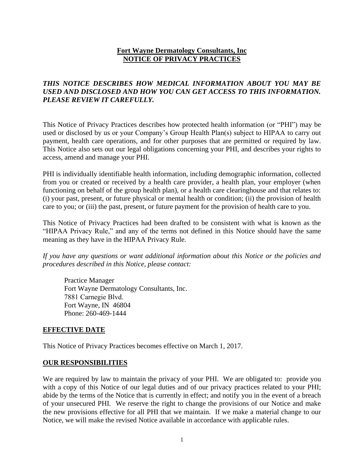## **Fort Wayne Dermatology Consultants, Inc NOTICE OF PRIVACY PRACTICES**

# *THIS NOTICE DESCRIBES HOW MEDICAL INFORMATION ABOUT YOU MAY BE USED AND DISCLOSED AND HOW YOU CAN GET ACCESS TO THIS INFORMATION. PLEASE REVIEW IT CAREFULLY.*

This Notice of Privacy Practices describes how protected health information (or "PHI") may be used or disclosed by us or your Company's Group Health Plan(s) subject to HIPAA to carry out payment, health care operations, and for other purposes that are permitted or required by law. This Notice also sets out our legal obligations concerning your PHI, and describes your rights to access, amend and manage your PHI.

PHI is individually identifiable health information, including demographic information, collected from you or created or received by a health care provider, a health plan, your employer (when functioning on behalf of the group health plan), or a health care clearinghouse and that relates to: (i) your past, present, or future physical or mental health or condition; (ii) the provision of health care to you; or (iii) the past, present, or future payment for the provision of health care to you.

This Notice of Privacy Practices had been drafted to be consistent with what is known as the "HIPAA Privacy Rule," and any of the terms not defined in this Notice should have the same meaning as they have in the HIPAA Privacy Rule.

*If you have any questions or want additional information about this Notice or the policies and procedures described in this Notice, please contact:* 

Practice Manager Fort Wayne Dermatology Consultants, Inc. 7881 Carnegie Blvd. Fort Wayne, IN 46804 Phone: 260-469-1444

### **EFFECTIVE DATE**

This Notice of Privacy Practices becomes effective on March 1, 2017.

### **OUR RESPONSIBILITIES**

We are required by law to maintain the privacy of your PHI. We are obligated to: provide you with a copy of this Notice of our legal duties and of our privacy practices related to your PHI; abide by the terms of the Notice that is currently in effect; and notify you in the event of a breach of your unsecured PHI. We reserve the right to change the provisions of our Notice and make the new provisions effective for all PHI that we maintain. If we make a material change to our Notice, we will make the revised Notice available in accordance with applicable rules.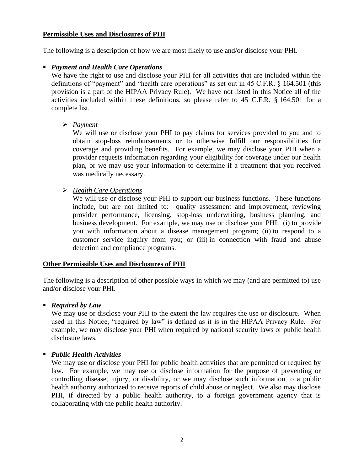### **Permissible Uses and Disclosures of PHI**

The following is a description of how we are most likely to use and/or disclose your PHI.

## ▪ *Payment and Health Care Operations*

We have the right to use and disclose your PHI for all activities that are included within the definitions of "payment" and "health care operations" as set out in 45 C.F.R. § 164.501 (this provision is a part of the HIPAA Privacy Rule). We have not listed in this Notice all of the activities included within these definitions, so please refer to 45 C.F.R. § 164.501 for a complete list.

➢ *Payment*

We will use or disclose your PHI to pay claims for services provided to you and to obtain stop-loss reimbursements or to otherwise fulfill our responsibilities for coverage and providing benefits. For example, we may disclose your PHI when a provider requests information regarding your eligibility for coverage under our health plan, or we may use your information to determine if a treatment that you received was medically necessary.

➢ *Health Care Operations*

We will use or disclose your PHI to support our business functions. These functions include, but are not limited to: quality assessment and improvement, reviewing provider performance, licensing, stop-loss underwriting, business planning, and business development. For example, we may use or disclose your PHI: (i) to provide you with information about a disease management program; (ii) to respond to a customer service inquiry from you; or (iii) in connection with fraud and abuse detection and compliance programs.

### **Other Permissible Uses and Disclosures of PHI**

The following is a description of other possible ways in which we may (and are permitted to) use and/or disclose your PHI.

▪ *Required by Law*

We may use or disclose your PHI to the extent the law requires the use or disclosure. When used in this Notice, "required by law" is defined as it is in the HIPAA Privacy Rule. For example, we may disclose your PHI when required by national security laws or public health disclosure laws.

### ▪ *Public Health Activities*

We may use or disclose your PHI for public health activities that are permitted or required by law. For example, we may use or disclose information for the purpose of preventing or controlling disease, injury, or disability, or we may disclose such information to a public health authority authorized to receive reports of child abuse or neglect. We also may disclose PHI, if directed by a public health authority, to a foreign government agency that is collaborating with the public health authority.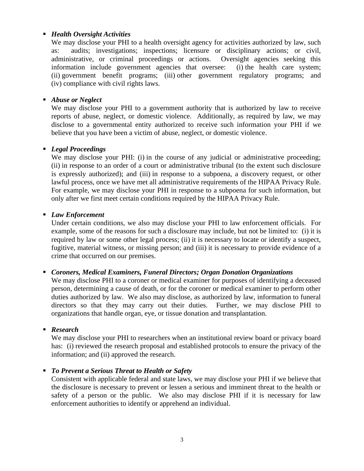### ▪ *Health Oversight Activities*

We may disclose your PHI to a health oversight agency for activities authorized by law, such as: audits; investigations; inspections; licensure or disciplinary actions; or civil, administrative, or criminal proceedings or actions. Oversight agencies seeking this information include government agencies that oversee: (i) the health care system; (ii) government benefit programs; (iii) other government regulatory programs; and (iv) compliance with civil rights laws.

## ■ *Abuse or Neglect*

We may disclose your PHI to a government authority that is authorized by law to receive reports of abuse, neglect, or domestic violence. Additionally, as required by law, we may disclose to a governmental entity authorized to receive such information your PHI if we believe that you have been a victim of abuse, neglect, or domestic violence.

### ▪ *Legal Proceedings*

We may disclose your PHI: (i) in the course of any judicial or administrative proceeding; (ii) in response to an order of a court or administrative tribunal (to the extent such disclosure is expressly authorized); and (iii) in response to a subpoena, a discovery request, or other lawful process, once we have met all administrative requirements of the HIPAA Privacy Rule. For example, we may disclose your PHI in response to a subpoena for such information, but only after we first meet certain conditions required by the HIPAA Privacy Rule.

## ▪ *Law Enforcement*

Under certain conditions, we also may disclose your PHI to law enforcement officials. For example, some of the reasons for such a disclosure may include, but not be limited to: (i) it is required by law or some other legal process; (ii) it is necessary to locate or identify a suspect, fugitive, material witness, or missing person; and (iii) it is necessary to provide evidence of a crime that occurred on our premises.

▪ *Coroners, Medical Examiners, Funeral Directors; Organ Donation Organizations*

We may disclose PHI to a coroner or medical examiner for purposes of identifying a deceased person, determining a cause of death, or for the coroner or medical examiner to perform other duties authorized by law. We also may disclose, as authorized by law, information to funeral directors so that they may carry out their duties. Further, we may disclose PHI to organizations that handle organ, eye, or tissue donation and transplantation.

### ▪ *Research*

We may disclose your PHI to researchers when an institutional review board or privacy board has: (i) reviewed the research proposal and established protocols to ensure the privacy of the information; and (ii) approved the research.

## ■ *To Prevent a Serious Threat to Health or Safety*

Consistent with applicable federal and state laws, we may disclose your PHI if we believe that the disclosure is necessary to prevent or lessen a serious and imminent threat to the health or safety of a person or the public. We also may disclose PHI if it is necessary for law enforcement authorities to identify or apprehend an individual.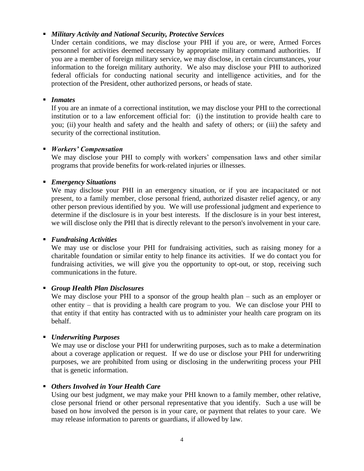### ▪ *Military Activity and National Security, Protective Services*

Under certain conditions, we may disclose your PHI if you are, or were, Armed Forces personnel for activities deemed necessary by appropriate military command authorities. If you are a member of foreign military service, we may disclose, in certain circumstances, your information to the foreign military authority. We also may disclose your PHI to authorized federal officials for conducting national security and intelligence activities, and for the protection of the President, other authorized persons, or heads of state.

### ■ *Inmates*

If you are an inmate of a correctional institution, we may disclose your PHI to the correctional institution or to a law enforcement official for: (i) the institution to provide health care to you; (ii) your health and safety and the health and safety of others; or (iii) the safety and security of the correctional institution.

## ▪ *Workers' Compensation*

We may disclose your PHI to comply with workers' compensation laws and other similar programs that provide benefits for work-related injuries or illnesses.

## ▪ *Emergency Situations*

We may disclose your PHI in an emergency situation, or if you are incapacitated or not present, to a family member, close personal friend, authorized disaster relief agency, or any other person previous identified by you. We will use professional judgment and experience to determine if the disclosure is in your best interests. If the disclosure is in your best interest, we will disclose only the PHI that is directly relevant to the person's involvement in your care.

### ▪ *Fundraising Activities*

We may use or disclose your PHI for fundraising activities, such as raising money for a charitable foundation or similar entity to help finance its activities. If we do contact you for fundraising activities, we will give you the opportunity to opt-out, or stop, receiving such communications in the future.

## ▪ *Group Health Plan Disclosures*

We may disclose your PHI to a sponsor of the group health plan – such as an employer or other entity – that is providing a health care program to you. We can disclose your PHI to that entity if that entity has contracted with us to administer your health care program on its behalf.

## ▪ *Underwriting Purposes*

We may use or disclose your PHI for underwriting purposes, such as to make a determination about a coverage application or request. If we do use or disclose your PHI for underwriting purposes, we are prohibited from using or disclosing in the underwriting process your PHI that is genetic information.

### ▪ *Others Involved in Your Health Care*

Using our best judgment, we may make your PHI known to a family member, other relative, close personal friend or other personal representative that you identify. Such a use will be based on how involved the person is in your care, or payment that relates to your care. We may release information to parents or guardians, if allowed by law.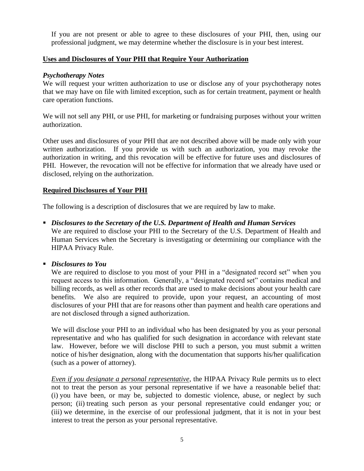If you are not present or able to agree to these disclosures of your PHI, then, using our professional judgment, we may determine whether the disclosure is in your best interest.

## **Uses and Disclosures of Your PHI that Require Your Authorization**

### *Psychotherapy Notes*

We will request your written authorization to use or disclose any of your psychotherapy notes that we may have on file with limited exception, such as for certain treatment, payment or health care operation functions.

We will not sell any PHI, or use PHI, for marketing or fundraising purposes without your written authorization.

Other uses and disclosures of your PHI that are not described above will be made only with your written authorization. If you provide us with such an authorization, you may revoke the authorization in writing, and this revocation will be effective for future uses and disclosures of PHI. However, the revocation will not be effective for information that we already have used or disclosed, relying on the authorization.

## **Required Disclosures of Your PHI**

The following is a description of disclosures that we are required by law to make.

- *Disclosures to the Secretary of the U.S. Department of Health and Human Services* We are required to disclose your PHI to the Secretary of the U.S. Department of Health and Human Services when the Secretary is investigating or determining our compliance with the HIPAA Privacy Rule.
- *Disclosures to You*

We are required to disclose to you most of your PHI in a "designated record set" when you request access to this information. Generally, a "designated record set" contains medical and billing records, as well as other records that are used to make decisions about your health care benefits. We also are required to provide, upon your request, an accounting of most disclosures of your PHI that are for reasons other than payment and health care operations and are not disclosed through a signed authorization.

We will disclose your PHI to an individual who has been designated by you as your personal representative and who has qualified for such designation in accordance with relevant state law. However, before we will disclose PHI to such a person, you must submit a written notice of his/her designation, along with the documentation that supports his/her qualification (such as a power of attorney).

*Even if you designate a personal representative*, the HIPAA Privacy Rule permits us to elect not to treat the person as your personal representative if we have a reasonable belief that: (i) you have been, or may be, subjected to domestic violence, abuse, or neglect by such person; (ii) treating such person as your personal representative could endanger you; or (iii) we determine, in the exercise of our professional judgment, that it is not in your best interest to treat the person as your personal representative.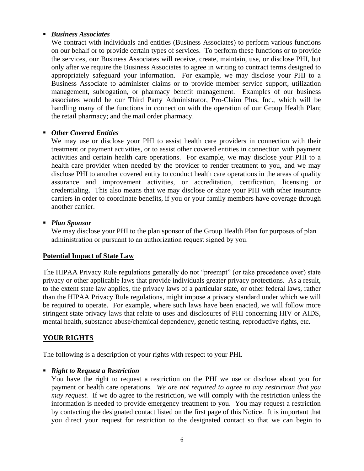### ▪ *Business Associates*

We contract with individuals and entities (Business Associates) to perform various functions on our behalf or to provide certain types of services. To perform these functions or to provide the services, our Business Associates will receive, create, maintain, use, or disclose PHI, but only after we require the Business Associates to agree in writing to contract terms designed to appropriately safeguard your information. For example, we may disclose your PHI to a Business Associate to administer claims or to provide member service support, utilization management, subrogation, or pharmacy benefit management. Examples of our business associates would be our Third Party Administrator, Pro-Claim Plus, Inc., which will be handling many of the functions in connection with the operation of our Group Health Plan; the retail pharmacy; and the mail order pharmacy.

## ▪ *Other Covered Entities*

We may use or disclose your PHI to assist health care providers in connection with their treatment or payment activities, or to assist other covered entities in connection with payment activities and certain health care operations. For example, we may disclose your PHI to a health care provider when needed by the provider to render treatment to you, and we may disclose PHI to another covered entity to conduct health care operations in the areas of quality assurance and improvement activities, or accreditation, certification, licensing or credentialing. This also means that we may disclose or share your PHI with other insurance carriers in order to coordinate benefits, if you or your family members have coverage through another carrier.

### ▪ *Plan Sponsor*

We may disclose your PHI to the plan sponsor of the Group Health Plan for purposes of plan administration or pursuant to an authorization request signed by you.

### **Potential Impact of State Law**

The HIPAA Privacy Rule regulations generally do not "preempt" (or take precedence over) state privacy or other applicable laws that provide individuals greater privacy protections. As a result, to the extent state law applies, the privacy laws of a particular state, or other federal laws, rather than the HIPAA Privacy Rule regulations, might impose a privacy standard under which we will be required to operate. For example, where such laws have been enacted, we will follow more stringent state privacy laws that relate to uses and disclosures of PHI concerning HIV or AIDS, mental health, substance abuse/chemical dependency, genetic testing, reproductive rights, etc.

## **YOUR RIGHTS**

The following is a description of your rights with respect to your PHI.

### ▪ *Right to Request a Restriction*

You have the right to request a restriction on the PHI we use or disclose about you for payment or health care operations. *We are not required to agree to any restriction that you may request.* If we do agree to the restriction, we will comply with the restriction unless the information is needed to provide emergency treatment to you. You may request a restriction by contacting the designated contact listed on the first page of this Notice. It is important that you direct your request for restriction to the designated contact so that we can begin to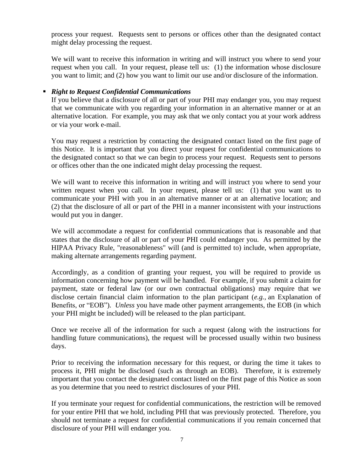process your request. Requests sent to persons or offices other than the designated contact might delay processing the request.

We will want to receive this information in writing and will instruct you where to send your request when you call. In your request, please tell us: (1) the information whose disclosure you want to limit; and (2) how you want to limit our use and/or disclosure of the information.

## ▪ *Right to Request Confidential Communications*

If you believe that a disclosure of all or part of your PHI may endanger you, you may request that we communicate with you regarding your information in an alternative manner or at an alternative location. For example, you may ask that we only contact you at your work address or via your work e-mail.

You may request a restriction by contacting the designated contact listed on the first page of this Notice. It is important that you direct your request for confidential communications to the designated contact so that we can begin to process your request. Requests sent to persons or offices other than the one indicated might delay processing the request.

We will want to receive this information in writing and will instruct you where to send your written request when you call. In your request, please tell us: (1) that you want us to communicate your PHI with you in an alternative manner or at an alternative location; and (2) that the disclosure of all or part of the PHI in a manner inconsistent with your instructions would put you in danger.

We will accommodate a request for confidential communications that is reasonable and that states that the disclosure of all or part of your PHI could endanger you. As permitted by the HIPAA Privacy Rule, "reasonableness" will (and is permitted to) include, when appropriate, making alternate arrangements regarding payment.

Accordingly, as a condition of granting your request, you will be required to provide us information concerning how payment will be handled. For example, if you submit a claim for payment, state or federal law (or our own contractual obligations) may require that we disclose certain financial claim information to the plan participant (*e.g.,* an Explanation of Benefits, or "EOB"). *Unless* you have made other payment arrangements, the EOB (in which your PHI might be included) will be released to the plan participant.

Once we receive all of the information for such a request (along with the instructions for handling future communications), the request will be processed usually within two business days.

Prior to receiving the information necessary for this request, or during the time it takes to process it, PHI might be disclosed (such as through an EOB). Therefore, it is extremely important that you contact the designated contact listed on the first page of this Notice as soon as you determine that you need to restrict disclosures of your PHI.

If you terminate your request for confidential communications, the restriction will be removed for your entire PHI that we hold, including PHI that was previously protected. Therefore, you should not terminate a request for confidential communications if you remain concerned that disclosure of your PHI will endanger you.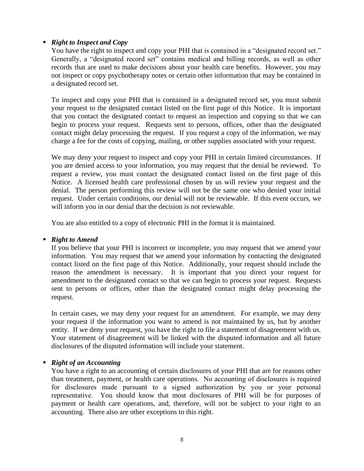## ▪ *Right to Inspect and Copy*

You have the right to inspect and copy your PHI that is contained in a "designated record set." Generally, a "designated record set" contains medical and billing records, as well as other records that are used to make decisions about your health care benefits. However, you may not inspect or copy psychotherapy notes or certain other information that may be contained in a designated record set.

To inspect and copy your PHI that is contained in a designated record set, you must submit your request to the designated contact listed on the first page of this Notice. It is important that you contact the designated contact to request an inspection and copying so that we can begin to process your request. Requests sent to persons, offices, other than the designated contact might delay processing the request. If you request a copy of the information, we may charge a fee for the costs of copying, mailing, or other supplies associated with your request.

We may deny your request to inspect and copy your PHI in certain limited circumstances. If you are denied access to your information, you may request that the denial be reviewed. To request a review, you must contact the designated contact listed on the first page of this Notice. A licensed health care professional chosen by us will review your request and the denial. The person performing this review will not be the same one who denied your initial request. Under certain conditions, our denial will not be reviewable. If this event occurs, we will inform you in our denial that the decision is not reviewable.

You are also entitled to a copy of electronic PHI in the format it is maintained.

### ▪ *Right to Amend*

If you believe that your PHI is incorrect or incomplete, you may request that we amend your information. You may request that we amend your information by contacting the designated contact listed on the first page of this Notice. Additionally, your request should include the reason the amendment is necessary. It is important that you direct your request for amendment to the designated contact so that we can begin to process your request. Requests sent to persons or offices, other than the designated contact might delay processing the request.

In certain cases, we may deny your request for an amendment. For example, we may deny your request if the information you want to amend is not maintained by us, but by another entity. If we deny your request, you have the right to file a statement of disagreement with us. Your statement of disagreement will be linked with the disputed information and all future disclosures of the disputed information will include your statement.

### ▪ *Right of an Accounting*

You have a right to an accounting of certain disclosures of your PHI that are for reasons other than treatment, payment, or health care operations. No accounting of disclosures is required for disclosures made pursuant to a signed authorization by you or your personal representative. You should know that most disclosures of PHI will be for purposes of payment or health care operations, and, therefore, will not be subject to your right to an accounting. There also are other exceptions to this right.